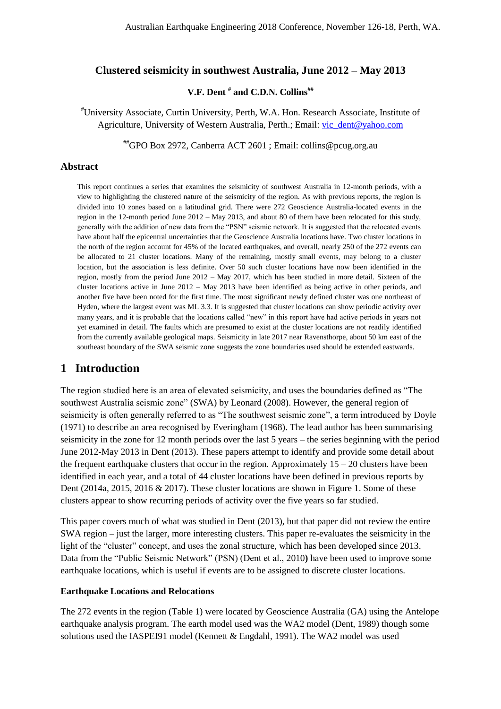### **Clustered seismicity in southwest Australia, June 2012 – May 2013**

### **V.F. Dent # and C.D.N. Collins##**

#University Associate, Curtin University, Perth, W.A. Hon. Research Associate, Institute of Agriculture, University of Western Australia, Perth.; Email: [vic\\_dent@yahoo.com](mailto:vic_dent@yahoo.com)

##GPO Box 2972, Canberra ACT 2601 ; Email: collins@pcug.org.au

#### **Abstract**

This report continues a series that examines the seismicity of southwest Australia in 12-month periods, with a view to highlighting the clustered nature of the seismicity of the region. As with previous reports, the region is divided into 10 zones based on a latitudinal grid. There were 272 Geoscience Australia-located events in the region in the 12-month period June 2012 – May 2013, and about 80 of them have been relocated for this study, generally with the addition of new data from the "PSN" seismic network. It is suggested that the relocated events have about half the epicentral uncertainties that the Geoscience Australia locations have. Two cluster locations in the north of the region account for 45% of the located earthquakes, and overall, nearly 250 of the 272 events can be allocated to 21 cluster locations. Many of the remaining, mostly small events, may belong to a cluster location, but the association is less definite. Over 50 such cluster locations have now been identified in the region, mostly from the period June 2012 – May 2017, which has been studied in more detail. Sixteen of the cluster locations active in June 2012 – May 2013 have been identified as being active in other periods, and another five have been noted for the first time. The most significant newly defined cluster was one northeast of Hyden, where the largest event was ML 3.3. It is suggested that cluster locations can show periodic activity over many years, and it is probable that the locations called "new" in this report have had active periods in years not yet examined in detail. The faults which are presumed to exist at the cluster locations are not readily identified from the currently available geological maps. Seismicity in late 2017 near Ravensthorpe, about 50 km east of the southeast boundary of the SWA seismic zone suggests the zone boundaries used should be extended eastwards.

### **1 Introduction**

The region studied here is an area of elevated seismicity, and uses the boundaries defined as "The southwest Australia seismic zone" (SWA) by Leonard (2008). However, the general region of seismicity is often generally referred to as "The southwest seismic zone", a term introduced by Doyle (1971) to describe an area recognised by Everingham (1968). The lead author has been summarising seismicity in the zone for 12 month periods over the last 5 years – the series beginning with the period June 2012-May 2013 in Dent (2013). These papers attempt to identify and provide some detail about the frequent earthquake clusters that occur in the region. Approximately  $15 - 20$  clusters have been identified in each year, and a total of 44 cluster locations have been defined in previous reports by Dent (2014a, 2015, 2016 & 2017). These cluster locations are shown in Figure 1. Some of these clusters appear to show recurring periods of activity over the five years so far studied.

This paper covers much of what was studied in Dent (2013), but that paper did not review the entire SWA region – just the larger, more interesting clusters. This paper re-evaluates the seismicity in the light of the "cluster" concept, and uses the zonal structure, which has been developed since 2013. Data from the "Public Seismic Network" (PSN) (Dent et al., 2010**)** have been used to improve some earthquake locations, which is useful if events are to be assigned to discrete cluster locations.

#### **Earthquake Locations and Relocations**

The 272 events in the region (Table 1) were located by Geoscience Australia (GA) using the Antelope earthquake analysis program. The earth model used was the WA2 model (Dent, 1989) though some solutions used the IASPEI91 model (Kennett & Engdahl, 1991). The WA2 model was used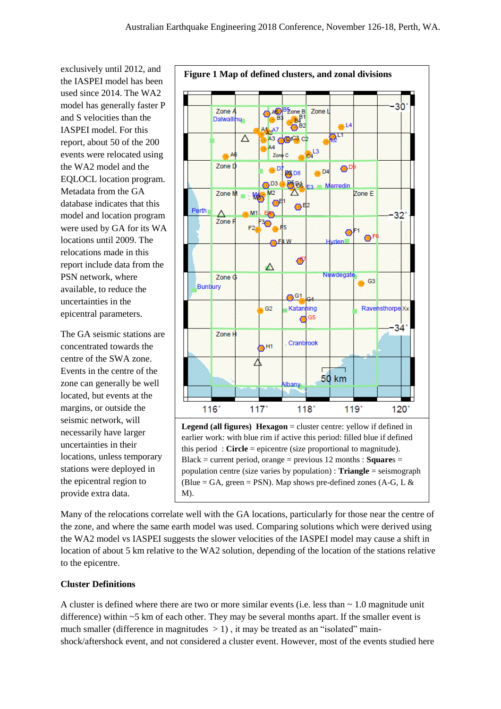exclusively until 2012, and the IASPEI model has been used since 2014. The WA2 model has generally faster P and S velocities than the IASPEI model. For this report, about 50 of the 200 events were relocated using the WA2 model and the EQLOCL location program. Metadata from the GA database indicates that this model and location program were used by GA for its WA locations until 2009. The relocations made in this report include data from the PSN network, where available, to reduce the uncertainties in the epicentral parameters.

The GA seismic stations are concentrated towards the centre of the SWA zone. Events in the centre of the zone can generally be well located, but events at the margins, or outside the seismic network, will necessarily have larger uncertainties in their locations, unless temporary stations were deployed in the epicentral region to provide extra data.



Many of the relocations correlate well with the GA locations, particularly for those near the centre of the zone, and where the same earth model was used. Comparing solutions which were derived using the WA2 model vs IASPEI suggests the slower velocities of the IASPEI model may cause a shift in location of about 5 km relative to the WA2 solution, depending of the location of the stations relative to the epicentre.

### **Cluster Definitions**

A cluster is defined where there are two or more similar events (i.e. less than  $\sim 1.0$  magnitude unit difference) within  $\sim$  5 km of each other. They may be several months apart. If the smaller event is much smaller (difference in magnitudes  $> 1$ ), it may be treated as an "isolated" mainshock/aftershock event, and not considered a cluster event. However, most of the events studied here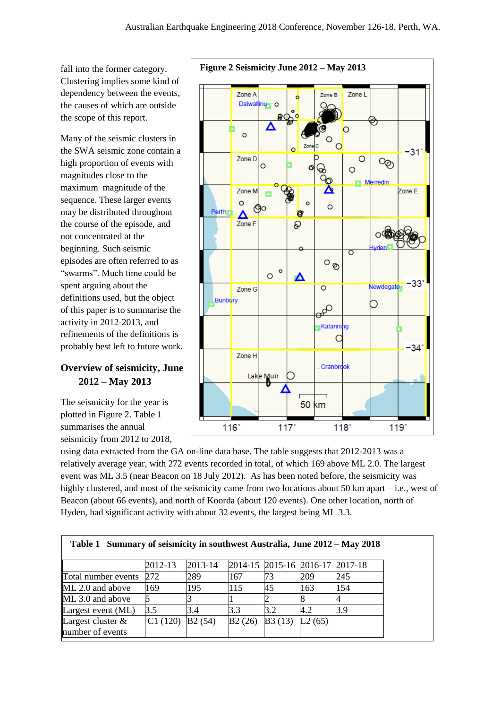fall into the former category. Clustering implies some kind of dependency between the events, the causes of which are outside the scope of this report.

Many of the seismic clusters in the SWA seismic zone contain a high proportion of events with magnitudes close to the maximum magnitude of the sequence. These larger events may be distributed throughout the course of the episode, and not concentrated at the beginning. Such seismic episodes are often referred to as "swarms". Much time could be spent arguing about the definitions used, but the object of this paper is to summarise the activity in 2012-2013, and refinements of the definitions is probably best left to future work.

## **Overview of seismicity, June 2012 – May 2013**

The seismicity for the year is plotted in Figure 2. Table 1 summarises the annual seismicity from 2012 to 2018,

using data extracted from the GA on-line data base. The table suggests that 2012-2013 was a relatively average year, with 272 events recorded in total, of which 169 above ML 2.0. The largest event was ML 3.5 (near Beacon on 18 July 2012). As has been noted before, the seismicity was highly clustered, and most of the seismicity came from two locations about 50 km apart – i.e., west of Beacon (about 66 events), and north of Koorda (about 120 events). One other location, north of Hyden, had significant activity with about 32 events, the largest being ML 3.3.

| Table 1 Summary of seismicity in southwest Australia, June 2012 – May 2018 |         |             |                                 |        |        |     |
|----------------------------------------------------------------------------|---------|-------------|---------------------------------|--------|--------|-----|
|                                                                            | 2012-13 | $2013 - 14$ | 2014-15 2015-16 2016-17 2017-18 |        |        |     |
|                                                                            |         |             |                                 |        |        |     |
| Total number events                                                        | 272     | 289         | 167                             | 73     | 209    | 245 |
| ML 2.0 and above                                                           | 169     | 195         | 115                             | 45     | 163    | 154 |
| ML 3.0 and above                                                           |         |             |                                 |        |        |     |
| Largest event $(ML)$                                                       | 3.5     | 3.4         | 3.3                             | 3.2    | 4.2    | 3.9 |
| Largest cluster $\&$                                                       | C1(120) | B2(54)      | B2(26)                          | B3(13) | L2(65) |     |
| number of events                                                           |         |             |                                 |        |        |     |

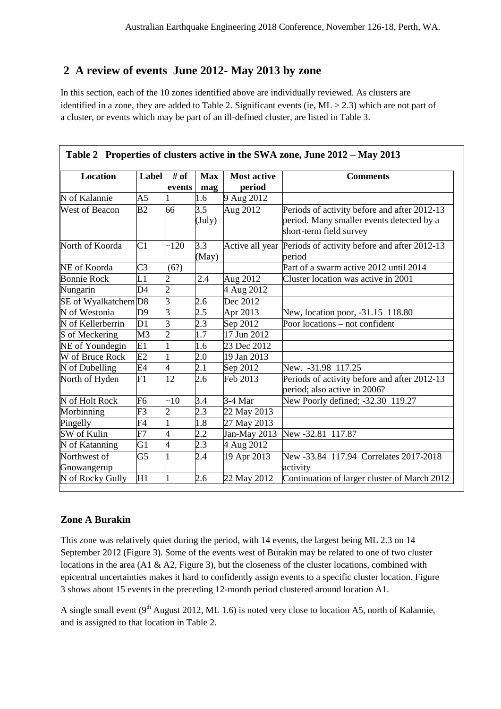## **2 A review of events June 2012- May 2013 by zone**

In this section, each of the 10 zones identified above are individually reviewed. As clusters are identified in a zone, they are added to Table 2. Significant events (ie, ML > 2.3) which are not part of a cluster, or events which may be part of an ill-defined cluster, are listed in Table 3.

| <b>Location</b>             | Label           | # of           | <b>Max</b>             | <b>Most active</b> | <b>Comments</b>                                                                                                      |
|-----------------------------|-----------------|----------------|------------------------|--------------------|----------------------------------------------------------------------------------------------------------------------|
|                             |                 | events         | mag                    | period             |                                                                                                                      |
| N of Kalannie               | A5              |                | 1.6                    | 9 Aug 2012         |                                                                                                                      |
| West of Beacon              | B <sub>2</sub>  | 66             | 3.5<br>$(\text{July})$ | Aug 2012           | Periods of activity before and after 2012-13<br>period. Many smaller events detected by a<br>short-term field survey |
| North of Koorda             | C1              | ~120           | 3.3<br>(May)           |                    | Active all year Periods of activity before and after 2012-13<br>period                                               |
| NE of Koorda                | C <sub>3</sub>  | (6?)           |                        |                    | Part of a swarm active 2012 until 2014                                                                               |
| <b>Bonnie Rock</b>          | L1              | 2              | 2.4                    | Aug 2012           | Cluster location was active in 2001                                                                                  |
| Nungarin                    | D4              | $\overline{2}$ |                        | 4 Aug 2012         |                                                                                                                      |
| SE of Wyalkatchem D8        |                 | $\overline{3}$ | 2.6                    | Dec 2012           |                                                                                                                      |
| N of Westonia               | D <sub>9</sub>  | 3              | $2.5\,$                | Apr 2013           | New, location poor, -31.15 118.80                                                                                    |
| N of Kellerberrin           | $\overline{D1}$ | $\overline{3}$ | $\overline{2.3}$       | Sep 2012           | Poor locations - not confident                                                                                       |
| S of Meckering              | M <sub>3</sub>  | $\overline{c}$ | $\overline{1.7}$       | 17 Jun 2012        |                                                                                                                      |
| NE of Youndegin             | E1              |                | 1.6                    | 23 Dec 2012        |                                                                                                                      |
| W of Bruce Rock             | E <sub>2</sub>  |                | 2.0                    | 19 Jan 2013        |                                                                                                                      |
| N of Dubelling              | E4              | 4              | 2.1                    | Sep 2012           | New. -31.98 117.25                                                                                                   |
| North of Hyden              | F1              | 12             | 2.6                    | Feb 2013           | Periods of activity before and after 2012-13<br>period; also active in 2006?                                         |
| N of Holt Rock              | F6              | ~10            | 3.4                    | 3-4 Mar            | New Poorly defined; -32.30 119.27                                                                                    |
| Morbinning                  | F <sub>3</sub>  | $\overline{c}$ | 2.3                    | 22 May 2013        |                                                                                                                      |
| Pingelly                    | F <sub>4</sub>  |                | 1.8                    | 27 May 2013        |                                                                                                                      |
| SW of Kulin                 | F7              | $\overline{4}$ | 2.2                    | Jan-May 2013       | New -32.81 117.87                                                                                                    |
| N of Katanning              | G1              | $\overline{4}$ | 2.3                    | 4 Aug 2012         |                                                                                                                      |
| Northwest of<br>Gnowangerup | G <sub>5</sub>  |                | 2.4                    | 19 Apr 2013        | New -33.84 117.94 Correlates 2017-2018<br>activity                                                                   |
| N of Rocky Gully            | H1              | 1              | 2.6                    | 22 May 2012        | Continuation of larger cluster of March 2012                                                                         |

### **Table 2 Properties of clusters active in the SWA zone, June 2012 – May 2013**

## **Zone A Burakin**

 $\sqrt{ }$ 

This zone was relatively quiet during the period, with 14 events, the largest being ML 2.3 on 14 September 2012 (Figure 3). Some of the events west of Burakin may be related to one of two cluster locations in the area (A1 & A2, Figure 3), but the closeness of the cluster locations, combined with epicentral uncertainties makes it hard to confidently assign events to a specific cluster location. Figure 3 shows about 15 events in the preceding 12-month period clustered around location A1.

A single small event  $(9<sup>th</sup>$  August 2012, ML 1.6) is noted very close to location A5, north of Kalannie, and is assigned to that location in Table 2.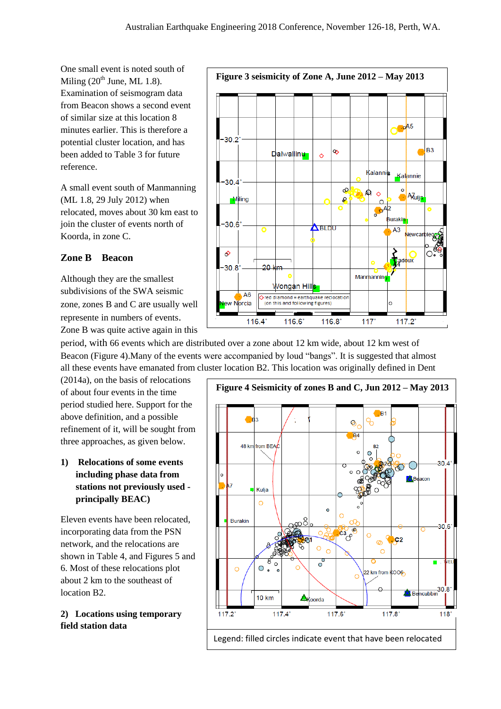One small event is noted south of Miling  $(20^{th}$  June, ML 1.8). Examination of seismogram data from Beacon shows a second event of similar size at this location 8 minutes earlier. This is therefore a potential cluster location, and has been added to Table 3 for future reference.

A small event south of Manmanning (ML 1.8, 29 July 2012) when relocated, moves about 30 km east to join the cluster of events north of Koorda, in zone C.

## **Zone B Beacon**

Although they are the smallest subdivisions of the SWA seismic zone, zones B and C are usually well represente in numbers of events. Zone B was quite active again in this

period, with 66 events which are distributed over a zone about 12 km wide, about 12 km west of Beacon (Figure 4). Many of the events were accompanied by loud "bangs". It is suggested that almost all these events have emanated from cluster location B2. This location was originally defined in Dent

(2014a), on the basis of relocations of about four events in the time period studied here. Support for the above definition, and a possible refinement of it, will be sought from three approaches, as given below.

**1) Relocations of some events including phase data from stations not previously used principally BEAC)**

Eleven events have been relocated, incorporating data from the PSN network, and the relocations are shown in Table 4, and Figures 5 and 6. Most of these relocations plot about 2 km to the southeast of location B2.

**2) Locations using temporary field station data**



**Figure 4 Seismicity of zones B and C, Jun 2012 – May 2013**  $R<sub>1</sub>$ re ℅ Ø B<sub>4</sub>  $48 \text{ km}$  from BFA  $30.4$  $\Omega$  $\circ$ acon ൽ Kulia  $\circ$ **Burakin**  $30<sub>6</sub>$  $rac{1}{c^3}$  $\circ$  $|cc2|$ ത Ċ  $\Omega$  $\circ$ VЕТ ٠  $\sim$  $\circ$ .  $\Omega$ 22 km from KOOG 30.8 **10 km** Akoorda  $117.2^{\circ}$  $117.4$  $117.6^{\circ}$  $117.8^{\circ}$  $118$ Legend: filled circles indicate event that have been relocated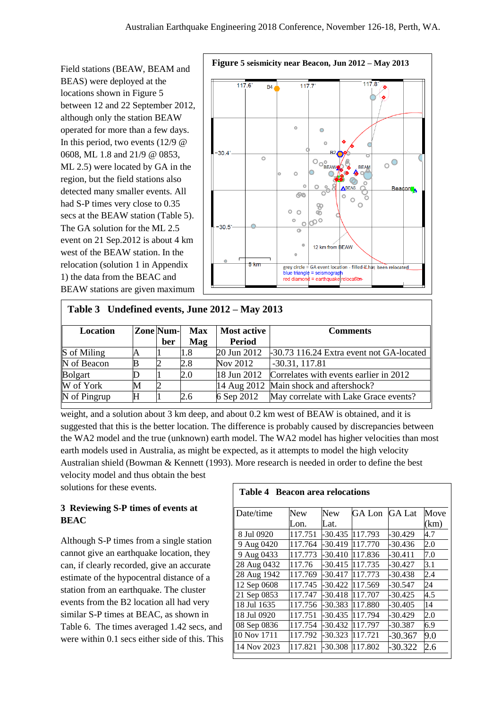Field stations (BEAW, BEAM and BEAS) were deployed at the locations shown in Figure 5 between 12 and 22 September 2012, although only the station BEAW operated for more than a few days. In this period, two events  $(12/9)$   $@$ 0608, ML 1.8 and 21/9 @ 0853, ML 2.5) were located by GA in the region, but the field stations also detected many smaller events. All had S-P times very close to 0.35 secs at the BEAW station (Table 5). The GA solution for the ML 2.5 event on 21 Sep.2012 is about 4 km west of the BEAW station. In the relocation (solution 1 in Appendix 1) the data from the BEAC and BEAW stations are given maximum



## **Table 3 Undefined events, June 2012 – May 2013**

| Location     |   | Zone Num- | <b>Max</b> | <b>Most active</b> | <b>Comments</b>                                    |
|--------------|---|-----------|------------|--------------------|----------------------------------------------------|
|              |   | ber       | Mag        | <b>Period</b>      |                                                    |
| S of Miling  |   |           | 1.8        | 20 Jun 2012        | -30.73 116.24 Extra event not GA-located           |
| N of Beacon  |   |           | 2.8        | Nov 2012           | $-30.31, 117.81$                                   |
| Bolgart      |   |           | 2.0        |                    | 18 Jun 2012 Correlates with events earlier in 2012 |
| W of York    | M |           |            |                    | 14 Aug 2012 Main shock and aftershock?             |
| N of Pingrup | Н |           | 2.6        | 6 Sep 2012         | May correlate with Lake Grace events?              |

weight, and a solution about 3 km deep, and about 0.2 km west of BEAW is obtained, and it is suggested that this is the better location. The difference is probably caused by discrepancies between the WA2 model and the true (unknown) earth model. The WA2 model has higher velocities than most earth models used in Australia, as might be expected, as it attempts to model the high velocity Australian shield (Bowman & Kennett (1993). More research is needed in order to define the best velocity model and thus obtain the best

solutions for these events.

### **3 Reviewing S-P times of events at BEAC**

Although S-P times from a single station cannot give an earthquake location, they can, if clearly recorded, give an accurate estimate of the hypocentral distance of a station from an earthquake. The cluster events from the B2 location all had very similar S-P times at BEAC, as shown in Table 6. The times averaged 1.42 secs, and were within 0.1 secs either side of this. This

## **Table 4 Beacon area relocations**

| Date/time   | New     | <b>New</b> | GA Lon  | <b>GA Lat</b> | Move |
|-------------|---------|------------|---------|---------------|------|
|             | Lon.    | Lat.       |         |               | (km) |
| 8 Jul 0920  | 117.751 | -30.435    | 117.793 | $-30.429$     | 4.7  |
| 9 Aug 0420  | 117.764 | -30.419    | 117.770 | -30.436       | 2.0  |
| 9 Aug 0433  | 117.773 | $-30.410$  | 117.836 | $-30.411$     | 7.0  |
| 28 Aug 0432 | 117.76  | $-30.415$  | 117.735 | $-30.427$     | 3.1  |
| 28 Aug 1942 | 117.769 | -30.417    | 117.773 | -30.438       | 2.4  |
| 12 Sep 0608 | 117.745 | -30.422    | 117.569 | -30.547       | 24   |
| 21 Sep 0853 | 117.747 | -30.418    | 117.707 | $-30.425$     | 4.5  |
| 18 Jul 1635 | 117.756 | -30.383    | 117.880 | $-30.405$     | 14   |
| 18 Jul 0920 | 117.751 | $-30.435$  | 117.794 | -30.429       | 2.0  |
| 08 Sep 0836 | 117.754 | -30.432    | 117.797 | -30.387       | 6.9  |
| 10 Nov 1711 | 117.792 | $-30.323$  | 117.721 | -30.367       | 9.0  |
| 14 Nov 2023 | 117.821 | -30.308    | 117.802 | $-30.322$     | 2.6  |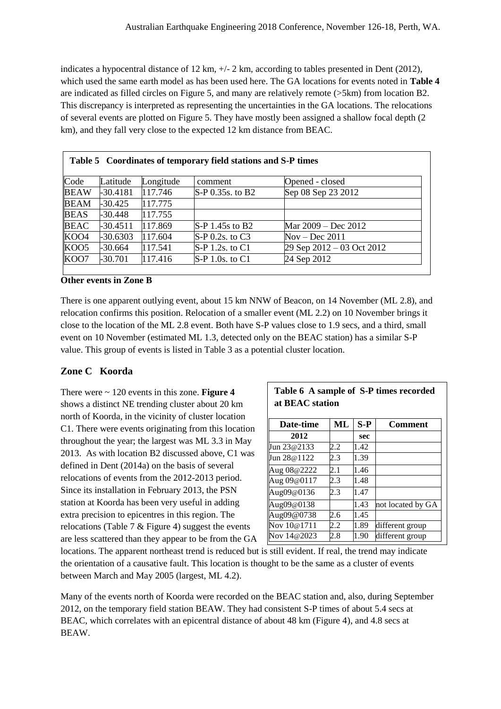indicates a hypocentral distance of 12 km,  $+/- 2$  km, according to tables presented in Dent (2012), which used the same earth model as has been used here. The GA locations for events noted in **Table 4** are indicated as filled circles on Figure 5, and many are relatively remote (>5km) from location B2. This discrepancy is interpreted as representing the uncertainties in the GA locations. The relocations of several events are plotted on Figure 5. They have mostly been assigned a shallow focal depth (2 km), and they fall very close to the expected 12 km distance from BEAC.

| $\mathbb{C}$ ode | Latitude   | Longitude | comment             | Opened - closed                 |
|------------------|------------|-----------|---------------------|---------------------------------|
| <b>BEAW</b>      | $-30.4181$ | 117.746   | S-P 0.35s. to B2    | Sep 08 Sep 23 2012              |
| <b>BEAM</b>      | $-30.425$  | 117.775   |                     |                                 |
| <b>BEAS</b>      | -30.448    | 117.755   |                     |                                 |
| <b>BEAC</b>      | $-30.4511$ | 117.869   | S-P 1.45s to B2     | Mar 2009 – Dec 2012             |
| KOO4             | $-30.6303$ | 117.604   | $S-P$ 0.2s. to $C3$ | $Nov - Dec 2011$                |
| KOO <sub>5</sub> | -30.664    | 117.541   | S-P 1.2s. to C1     | $29$ Sep $2012 - 03$ Oct $2012$ |
| KOO7             | $-30.701$  | 117.416   | S-P 1.0s. to C1     | 24 Sep 2012                     |

#### **Other events in Zone B**

There is one apparent outlying event, about 15 km NNW of Beacon, on 14 November (ML 2.8), and relocation confirms this position. Relocation of a smaller event (ML 2.2) on 10 November brings it close to the location of the ML 2.8 event. Both have S-P values close to 1.9 secs, and a third, small event on 10 November (estimated ML 1.3, detected only on the BEAC station) has a similar S-P value. This group of events is listed in Table 3 as a potential cluster location.

### **Zone C Koorda**

There were ~ 120 events in this zone. **Figure 4** shows a distinct NE trending cluster about 20 km north of Koorda, in the vicinity of cluster location C1. There were events originating from this location throughout the year; the largest was ML 3.3 in May 2013. As with location B2 discussed above, C1 was defined in Dent (2014a) on the basis of several relocations of events from the 2012-2013 period. Since its installation in February 2013, the PSN station at Koorda has been very useful in adding extra precision to epicentres in this region. The relocations (Table 7  $\&$  Figure 4) suggest the events are less scattered than they appear to be from the GA

| Table 6 A sample of S-P times recorded |  |
|----------------------------------------|--|
| at BEAC station                        |  |

| Date-time   | ML  | S-P  | <b>Comment</b>    |
|-------------|-----|------|-------------------|
| 2012        |     | sec  |                   |
| Jun 23@2133 | 2.2 | 1.42 |                   |
| Jun 28@1122 | 2.3 | 1.39 |                   |
| Aug 08@2222 | 2.1 | 1.46 |                   |
| Aug 09@0117 | 2.3 | 1.48 |                   |
| Aug09@0136  | 2.3 | 1.47 |                   |
| Aug09@0138  |     | 1.43 | not located by GA |
| Aug09@0738  | 2.6 | 1.45 |                   |
| Nov 10@1711 | 2.2 | 1.89 | different group   |
| Nov 14@2023 | 2.8 | 1.90 | different group   |

locations. The apparent northeast trend is reduced but is still evident. If real, the trend may indicate the orientation of a causative fault. This location is thought to be the same as a cluster of events between March and May 2005 (largest, ML 4.2).

Many of the events north of Koorda were recorded on the BEAC station and, also, during September 2012, on the temporary field station BEAW. They had consistent S-P times of about 5.4 secs at BEAC, which correlates with an epicentral distance of about 48 km (Figure 4), and 4.8 secs at BEAW.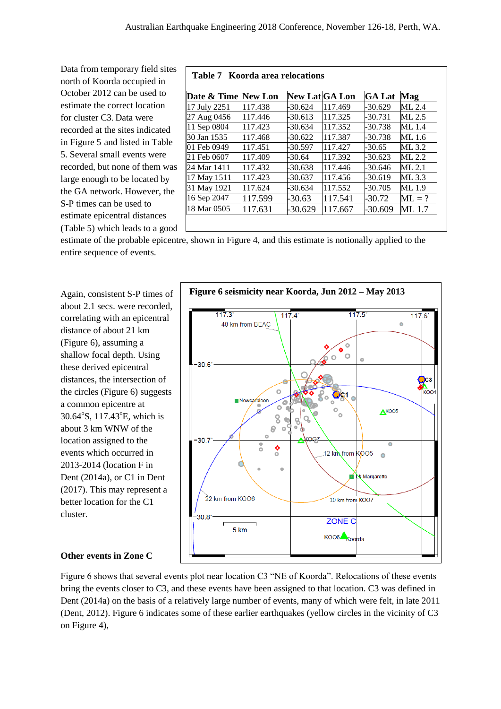Data from temporary field sites north of Koorda occupied in October 2012 can be used to estimate the correct location for cluster C3. Data were recorded at the sites indicated in Figure 5 and listed in Table 5. Several small events were recorded, but none of them was large enough to be located by the GA network. However, the S-P times can be used to estimate epicentral distances (Table 5) which leads to a good  $\Box$ 

#### **Table 7 Koorda area relocations**

| Date & Time  | <b>New Lon</b> | <b>New Lat</b> GA Lon |         | <b>GA Lat</b> | <b>Mag</b> |
|--------------|----------------|-----------------------|---------|---------------|------------|
| 17 July 2251 | 117.438        | $-30.624$             | 117.469 | $-30.629$     | $ML$ 2.4   |
| 27 Aug 0456  | 117.446        | $-30.613$             | 117.325 | $-30.731$     | ML 2.5     |
| 11 Sep 0804  | 117.423        | $-30.634$             | 117.352 | -30.738       | ML 1.4     |
| 30 Jan 1535  | 117.468        | $-30.622$             | 117.387 | -30.738       | ML 1.6     |
| 01 Feb 0949  | 117.451        | -30.597               | 117.427 | -30.65        | ML 3.2     |
| 21 Feb 0607  | 117.409        | -30.64                | 117.392 | -30.623       | ML 2.2     |
| 24 Mar 1411  | 117.432        | -30.638               | 117.446 | $-30.646$     | ML 2.1     |
| 17 May 1511  | 117.423        | $-30.637$             | 117.456 | $-30.619$     | ML 3.3     |
| 31 May 1921  | 117.624        | -30.634               | 117.552 | $-30.705$     | ML 1.9     |
| 16 Sep 2047  | 117.599        | -30.63                | 117.541 | $-30.72$      | $ML = ?$   |
| 18 Mar 0505  | 117.631        | -30.629               | 117.667 | -30.609       | ML 1.7     |

estimate of the probable epicentre, shown in Figure 4, and this estimate is notionally applied to the entire sequence of events.

Again, consistent S-P times of about 2.1 secs. were recorded, correlating with an epicentral distance of about 21 km (Figure 6), assuming a shallow focal depth. Using these derived epicentral distances, the intersection of the circles (Figure 6) suggests a common epicentre at 30.64°S, 117.43°E, which is about 3 km WNW of the location assigned to the events which occurred in 2013-2014 (location F in Dent (2014a), or C1 in Dent (2017). This may represent a better location for the C1 cluster.



#### **Other events in Zone C**

Figure 6 shows that several events plot near location C3 "NE of Koorda". Relocations of these events bring the events closer to C3, and these events have been assigned to that location. C3 was defined in Dent (2014a) on the basis of a relatively large number of events, many of which were felt, in late 2011 (Dent, 2012). Figure 6 indicates some of these earlier earthquakes (yellow circles in the vicinity of C3 on Figure 4),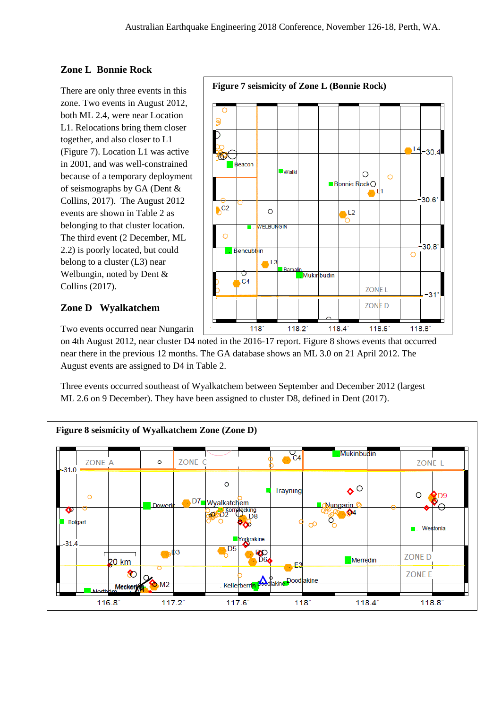## **Zone L Bonnie Rock**

There are only three events in this zone. Two events in August 2012, both ML 2.4, were near Location L1. Relocations bring them closer together, and also closer to L1 (Figure 7). Location L1 was active in 2001, and was well-constrained because of a temporary deployment of seismographs by GA (Dent & Collins, 2017). The August 2012 events are shown in Table 2 as belonging to that cluster location. The third event (2 December, ML 2.2) is poorly located, but could belong to a cluster (L3) near Welbungin, noted by Dent & Collins (2017).

## **Zone D Wyalkatchem**



Two events occurred near Nungarin

on 4th August 2012, near cluster D4 noted in the 2016-17 report. Figure 8 shows events that occurred near there in the previous 12 months. The GA database shows an ML 3.0 on 21 April 2012. The August events are assigned to D4 in Table 2.

Three events occurred southeast of Wyalkatchem between September and December 2012 (largest ML 2.6 on 9 December). They have been assigned to cluster D8, defined in Dent (2017).

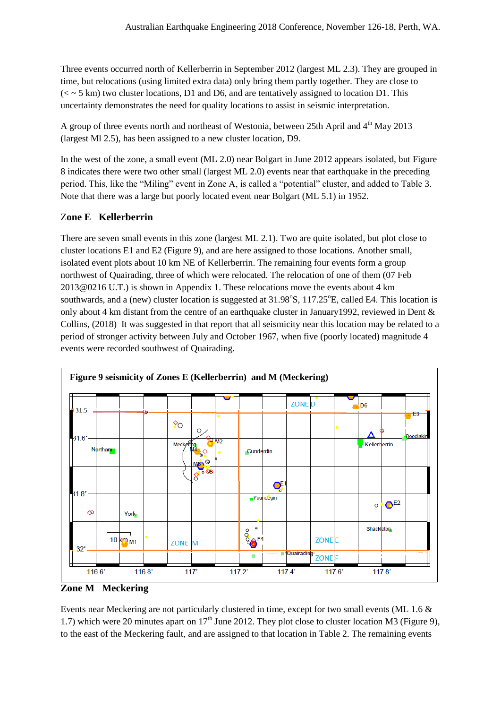Three events occurred north of Kellerberrin in September 2012 (largest ML 2.3). They are grouped in time, but relocations (using limited extra data) only bring them partly together. They are close to  $(<$   $\sim$  5 km) two cluster locations, D1 and D6, and are tentatively assigned to location D1. This uncertainty demonstrates the need for quality locations to assist in seismic interpretation.

A group of three events north and northeast of Westonia, between 25th April and  $4<sup>th</sup>$  May 2013 (largest Ml 2.5), has been assigned to a new cluster location, D9.

In the west of the zone, a small event (ML 2.0) near Bolgart in June 2012 appears isolated, but Figure 8 indicates there were two other small (largest ML 2.0) events near that earthquake in the preceding period. This, like the "Miling" event in Zone A, is called a "potential" cluster, and added to Table 3. Note that there was a large but poorly located event near Bolgart (ML 5.1) in 1952.

## Z**one E Kellerberrin**

There are seven small events in this zone (largest ML 2.1). Two are quite isolated, but plot close to cluster locations E1 and E2 (Figure 9), and are here assigned to those locations. Another small, isolated event plots about 10 km NE of Kellerberrin. The remaining four events form a group northwest of Quairading, three of which were relocated. The relocation of one of them (07 Feb 2013@0216 U.T.) is shown in Appendix 1. These relocations move the events about 4 km southwards, and a (new) cluster location is suggested at 31.98°S, 117.25°E, called E4. This location is only about 4 km distant from the centre of an earthquake cluster in January1992, reviewed in Dent & Collins, (2018) It was suggested in that report that all seismicity near this location may be related to a period of stronger activity between July and October 1967, when five (poorly located) magnitude 4 events were recorded southwest of Quairading.



**Zone M Meckering**

Events near Meckering are not particularly clustered in time, except for two small events (ML 1.6 & 1.7) which were 20 minutes apart on  $17<sup>th</sup>$  June 2012. They plot close to cluster location M3 (Figure 9), to the east of the Meckering fault, and are assigned to that location in Table 2. The remaining events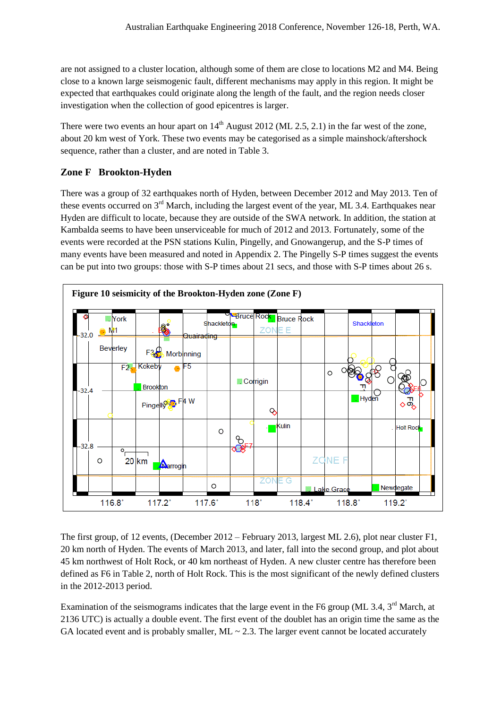are not assigned to a cluster location, although some of them are close to locations M2 and M4. Being close to a known large seismogenic fault, different mechanisms may apply in this region. It might be expected that earthquakes could originate along the length of the fault, and the region needs closer investigation when the collection of good epicentres is larger.

There were two events an hour apart on  $14<sup>th</sup>$  August 2012 (ML 2.5, 2.1) in the far west of the zone, about 20 km west of York. These two events may be categorised as a simple mainshock/aftershock sequence, rather than a cluster, and are noted in Table 3.

## **Zone F Brookton-Hyden**

There was a group of 32 earthquakes north of Hyden, between December 2012 and May 2013. Ten of these events occurred on 3<sup>rd</sup> March, including the largest event of the year, ML 3.4. Earthquakes near Hyden are difficult to locate, because they are outside of the SWA network. In addition, the station at Kambalda seems to have been unserviceable for much of 2012 and 2013. Fortunately, some of the events were recorded at the PSN stations Kulin, Pingelly, and Gnowangerup, and the S-P times of many events have been measured and noted in Appendix 2. The Pingelly S-P times suggest the events can be put into two groups: those with S-P times about 21 secs, and those with S-P times about 26 s.



The first group, of 12 events, (December 2012 – February 2013, largest ML 2.6), plot near cluster F1, 20 km north of Hyden. The events of March 2013, and later, fall into the second group, and plot about 45 km northwest of Holt Rock, or 40 km northeast of Hyden. A new cluster centre has therefore been defined as F6 in Table 2, north of Holt Rock. This is the most significant of the newly defined clusters in the 2012-2013 period.

Examination of the seismograms indicates that the large event in the F6 group (ML 3.4,  $3<sup>rd</sup>$  March, at 2136 UTC) is actually a double event. The first event of the doublet has an origin time the same as the GA located event and is probably smaller,  $ML \sim 2.3$ . The larger event cannot be located accurately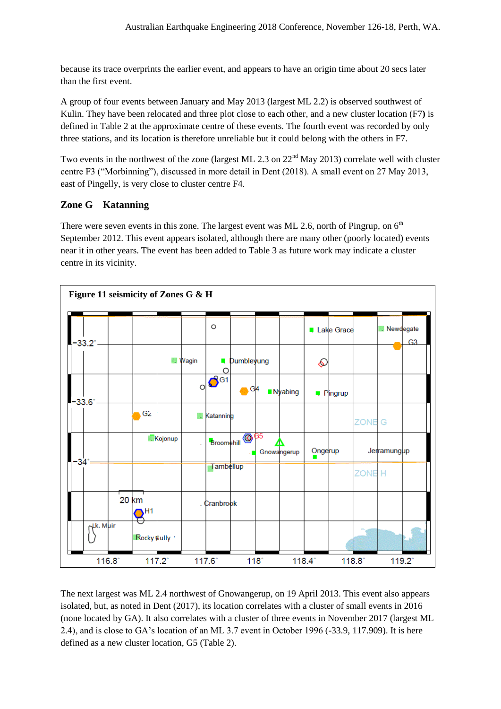because its trace overprints the earlier event, and appears to have an origin time about 20 secs later than the first event.

A group of four events between January and May 2013 (largest ML 2.2) is observed southwest of Kulin. They have been relocated and three plot close to each other, and a new cluster location (F7**)** is defined in Table 2 at the approximate centre of these events. The fourth event was recorded by only three stations, and its location is therefore unreliable but it could belong with the others in F7.

Two events in the northwest of the zone (largest ML 2.3 on  $22<sup>nd</sup>$  May 2013) correlate well with cluster centre F3 ("Morbinning"), discussed in more detail in Dent (2018). A small event on 27 May 2013, east of Pingelly, is very close to cluster centre F4.

## **Zone G Katanning**

There were seven events in this zone. The largest event was ML 2.6, north of Pingrup, on  $6<sup>th</sup>$ September 2012. This event appears isolated, although there are many other (poorly located) events near it in other years. The event has been added to Table 3 as future work may indicate a cluster centre in its vicinity.



The next largest was ML 2.4 northwest of Gnowangerup, on 19 April 2013. This event also appears isolated, but, as noted in Dent (2017), its location correlates with a cluster of small events in 2016 (none located by GA). It also correlates with a cluster of three events in November 2017 (largest ML 2.4), and is close to GA's location of an ML 3.7 event in October 1996 (-33.9, 117.909). It is here defined as a new cluster location, G5 (Table 2).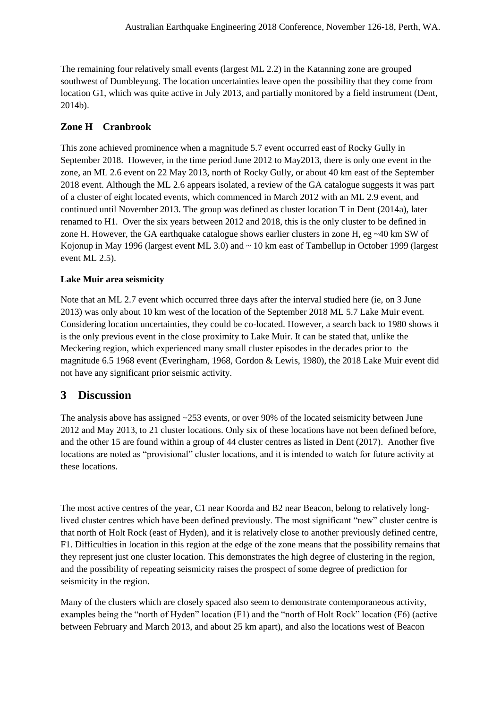The remaining four relatively small events (largest ML 2.2) in the Katanning zone are grouped southwest of Dumbleyung. The location uncertainties leave open the possibility that they come from location G1, which was quite active in July 2013, and partially monitored by a field instrument (Dent, 2014b).

## **Zone H Cranbrook**

This zone achieved prominence when a magnitude 5.7 event occurred east of Rocky Gully in September 2018. However, in the time period June 2012 to May2013, there is only one event in the zone, an ML 2.6 event on 22 May 2013, north of Rocky Gully, or about 40 km east of the September 2018 event. Although the ML 2.6 appears isolated, a review of the GA catalogue suggests it was part of a cluster of eight located events, which commenced in March 2012 with an ML 2.9 event, and continued until November 2013. The group was defined as cluster location T in Dent (2014a), later renamed to H1. Over the six years between 2012 and 2018, this is the only cluster to be defined in zone H. However, the GA earthquake catalogue shows earlier clusters in zone H, eg  $\sim$ 40 km SW of Kojonup in May 1996 (largest event ML 3.0) and ~ 10 km east of Tambellup in October 1999 (largest event ML 2.5).

### **Lake Muir area seismicity**

Note that an ML 2.7 event which occurred three days after the interval studied here (ie, on 3 June 2013) was only about 10 km west of the location of the September 2018 ML 5.7 Lake Muir event. Considering location uncertainties, they could be co-located. However, a search back to 1980 shows it is the only previous event in the close proximity to Lake Muir. It can be stated that, unlike the Meckering region, which experienced many small cluster episodes in the decades prior to the magnitude 6.5 1968 event (Everingham, 1968, Gordon & Lewis, 1980), the 2018 Lake Muir event did not have any significant prior seismic activity.

## **3 Discussion**

The analysis above has assigned  $\sim$ 253 events, or over 90% of the located seismicity between June 2012 and May 2013, to 21 cluster locations. Only six of these locations have not been defined before, and the other 15 are found within a group of 44 cluster centres as listed in Dent (2017). Another five locations are noted as "provisional" cluster locations, and it is intended to watch for future activity at these locations.

The most active centres of the year, C1 near Koorda and B2 near Beacon, belong to relatively longlived cluster centres which have been defined previously. The most significant "new" cluster centre is that north of Holt Rock (east of Hyden), and it is relatively close to another previously defined centre, F1. Difficulties in location in this region at the edge of the zone means that the possibility remains that they represent just one cluster location. This demonstrates the high degree of clustering in the region, and the possibility of repeating seismicity raises the prospect of some degree of prediction for seismicity in the region.

Many of the clusters which are closely spaced also seem to demonstrate contemporaneous activity, examples being the "north of Hyden" location (F1) and the "north of Holt Rock" location (F6) (active between February and March 2013, and about 25 km apart), and also the locations west of Beacon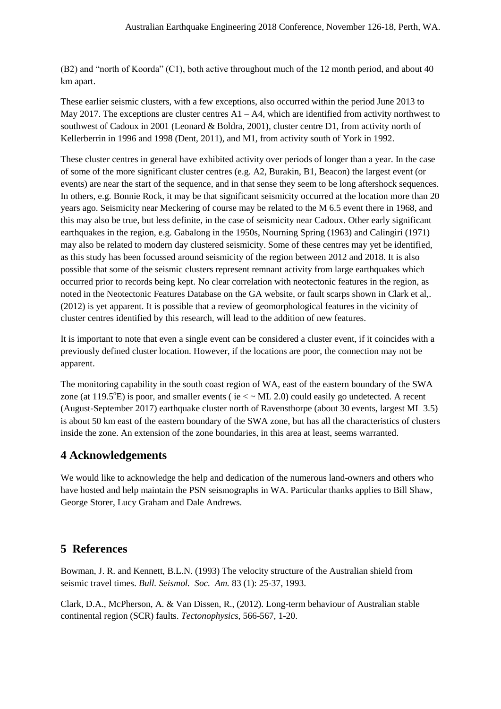(B2) and "north of Koorda" (C1), both active throughout much of the 12 month period, and about 40 km apart.

These earlier seismic clusters, with a few exceptions, also occurred within the period June 2013 to May 2017. The exceptions are cluster centres  $A1 - A4$ , which are identified from activity northwest to southwest of Cadoux in 2001 (Leonard & Boldra, 2001), cluster centre D1, from activity north of Kellerberrin in 1996 and 1998 (Dent, 2011), and M1, from activity south of York in 1992.

These cluster centres in general have exhibited activity over periods of longer than a year. In the case of some of the more significant cluster centres (e.g. A2, Burakin, B1, Beacon) the largest event (or events) are near the start of the sequence, and in that sense they seem to be long aftershock sequences. In others, e.g. Bonnie Rock, it may be that significant seismicity occurred at the location more than 20 years ago. Seismicity near Meckering of course may be related to the M 6.5 event there in 1968, and this may also be true, but less definite, in the case of seismicity near Cadoux. Other early significant earthquakes in the region, e.g. Gabalong in the 1950s, Nourning Spring (1963) and Calingiri (1971) may also be related to modern day clustered seismicity. Some of these centres may yet be identified, as this study has been focussed around seismicity of the region between 2012 and 2018. It is also possible that some of the seismic clusters represent remnant activity from large earthquakes which occurred prior to records being kept. No clear correlation with neotectonic features in the region, as noted in the Neotectonic Features Database on the GA website, or fault scarps shown in Clark et al,. (2012) is yet apparent. It is possible that a review of geomorphological features in the vicinity of cluster centres identified by this research, will lead to the addition of new features.

It is important to note that even a single event can be considered a cluster event, if it coincides with a previously defined cluster location. However, if the locations are poor, the connection may not be apparent.

The monitoring capability in the south coast region of WA, east of the eastern boundary of the SWA zone (at 119.5 $\textdegree$ E) is poor, and smaller events ( ie  $\lt \sim$  ML 2.0) could easily go undetected. A recent (August-September 2017) earthquake cluster north of Ravensthorpe (about 30 events, largest ML 3.5) is about 50 km east of the eastern boundary of the SWA zone, but has all the characteristics of clusters inside the zone. An extension of the zone boundaries, in this area at least, seems warranted.

## **4 Acknowledgements**

We would like to acknowledge the help and dedication of the numerous land-owners and others who have hosted and help maintain the PSN seismographs in WA. Particular thanks applies to Bill Shaw, George Storer, Lucy Graham and Dale Andrews.

## **5 References**

Bowman, J. R. and Kennett, B.L.N. (1993) The velocity structure of the Australian shield from seismic travel times. *Bull. Seismol. Soc. Am.* 83 (1): 25-37, 1993.

Clark, D.A., McPherson, A. & Van Dissen, R., (2012). Long-term behaviour of Australian stable continental region (SCR) faults. *Tectonophysics*, 566-567, 1-20.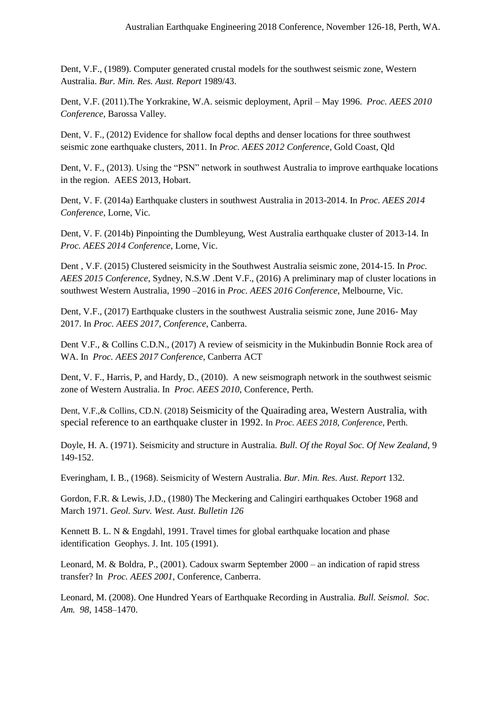Dent, V.F., (1989). Computer generated crustal models for the southwest seismic zone, Western Australia. *Bur. Min. Res. Aust. Report* 1989/43.

Dent, V.F. (2011).The Yorkrakine, W.A. seismic deployment, April – May 1996. *Proc. AEES 2010 Conference*, Barossa Valley.

Dent, V. F., (2012) Evidence for shallow focal depths and denser locations for three southwest seismic zone earthquake clusters, 2011. In *Proc. AEES 2012 Conference*, Gold Coast, Qld

Dent, V. F., (2013). Using the "PSN" network in southwest Australia to improve earthquake locations in the region. AEES 2013, Hobart.

Dent, V. F. (2014a) Earthquake clusters in southwest Australia in 2013-2014. In *Proc. AEES 2014 Conference*, Lorne, Vic.

Dent, V. F. (2014b) Pinpointing the Dumbleyung, West Australia earthquake cluster of 2013-14. In *Proc. AEES 2014 Conference*, Lorne, Vic.

Dent , V.F. (2015) Clustered seismicity in the Southwest Australia seismic zone, 2014-15. In *Proc. AEES 2015 Conference*, Sydney, N.S.W .Dent V.F., (2016) A preliminary map of cluster locations in southwest Western Australia, 1990 –2016 in *Proc. AEES 2016 Conference*, Melbourne, Vic.

Dent, V.F., (2017) Earthquake clusters in the southwest Australia seismic zone, June 2016- May 2017. In *Proc. AEES 2017*, *Conference*, Canberra.

Dent V.F., & Collins C.D.N., (2017) A review of seismicity in the Mukinbudin Bonnie Rock area of WA. In *Proc. AEES 2017 Conference*, Canberra ACT

Dent, V. F., Harris, P, and Hardy, D., (2010). A new seismograph network in the southwest seismic zone of Western Australia. In *Proc. AEES 2010*, Conference, Perth.

Dent, V.F.,& Collins, CD.N. (2018) Seismicity of the Quairading area, Western Australia, with special reference to an earthquake cluster in 1992. In *Proc. AEES 2018*, *Conference*, Perth.

Doyle, H. A. (1971). Seismicity and structure in Australia. *Bull. Of the Royal Soc. Of New Zealand,* 9 149-152.

Everingham, I. B., (1968). Seismicity of Western Australia. *Bur. Min. Res. Aust. Report* 132.

Gordon, F.R. & Lewis, J.D., (1980) The Meckering and Calingiri earthquakes October 1968 and March 1971. *Geol. Surv. West. Aust. Bulletin 126*

Kennett B. L. N & Engdahl, 1991. Travel times for global earthquake location and phase identification Geophys. J. Int. 105 (1991).

Leonard, M. & Boldra, P., (2001). Cadoux swarm September 2000 – an indication of rapid stress transfer? In *Proc. AEES 2001*, Conference, Canberra.

Leonard, M. (2008). One Hundred Years of Earthquake Recording in Australia. *Bull. Seismol. Soc. Am. 98*, 1458–1470.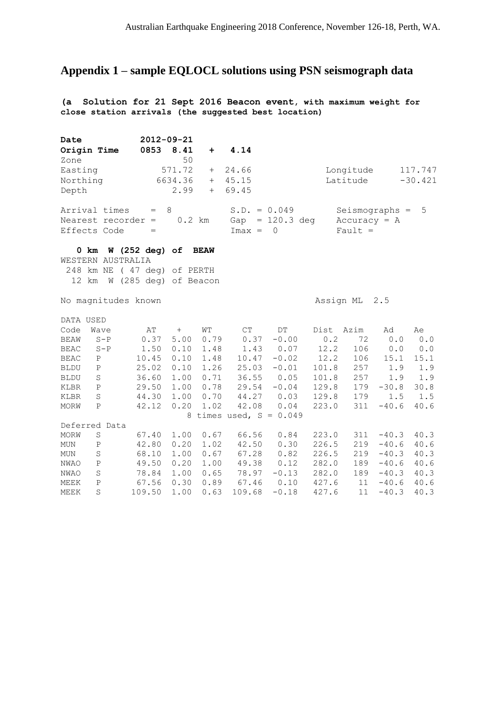# **Appendix 1 – sample EQLOCL solutions using PSN seismograph data**

**(a Solution for 21 Sept 2016 Beacon event, with maximum weight for close station arrivals (the suggested best location)**

| Date                            | 2012-09-21                     |              |                           |                |                              |                    |              |
|---------------------------------|--------------------------------|--------------|---------------------------|----------------|------------------------------|--------------------|--------------|
| Origin Time                     | 0853<br>8.41                   | $\pm$        | 4.14                      |                |                              |                    |              |
| Zone                            | 50                             |              |                           |                |                              |                    |              |
| Easting                         | 571.72                         | $^{+}$       | 24.66                     |                | Longitude                    |                    | 117.747      |
| Northing                        | 6634.36                        | $+$          | 45.15                     |                | Latitude                     |                    | $-30.421$    |
| Depth                           | 2.99                           | $+$          | 69.45                     |                |                              |                    |              |
| Arrival times                   | 8<br>$=$                       |              | $S.D. = 0.049$            |                |                              | $Seismography =$   | 5            |
| Nearest recorder $=$            |                                | $0.2$ km     | Gap                       | $= 120.3$ deg  |                              | $Accuracy = A$     |              |
| Effects Code                    | $=$                            |              | $Imax =$                  | $\overline{0}$ | Fault $=$                    |                    |              |
| 0 km                            | W (252 deg) of BEAW            |              |                           |                |                              |                    |              |
| WESTERN AUSTRALIA               |                                |              |                           |                |                              |                    |              |
| 248 km NE                       | (47 deg) of PERTH              |              |                           |                |                              |                    |              |
| 12 km                           | W (285 deg) of Beacon          |              |                           |                |                              |                    |              |
| No magnitudes known             |                                |              |                           |                | Assign ML                    | 2.5                |              |
| DATA USED                       |                                |              |                           |                |                              |                    |              |
| Code<br>Wave                    | AΤ<br>$+$                      | WТ           | CT                        | DT             | Dist<br>Azim                 | Ad                 | Ae           |
| $S - P$<br><b>BEAW</b>          | 0.37<br>5.00                   | 0.79         | 0.37                      | $-0.00$        | 0.2<br>72                    | 0.0                | 0.0          |
| <b>BEAC</b><br>$S - P$          | 1.50<br>0.10                   | 1.48         | 1.43                      | 0.07           | 12.2<br>106                  | 0.0                | 0.0          |
| <b>BEAC</b><br>P                | 10.45<br>0.10                  | 1.48         | 10.47                     | $-0.02$        | 12.2<br>106                  | 15.1               | 15.1         |
| <b>BLDU</b><br>P                | 0.10<br>25.02                  | 1.26         | 25.03                     | $-0.01$        | 101.8<br>257                 | 1.9                | 1.9          |
| <b>BLDU</b><br>S                | 1.00<br>36.60                  | 0.71         | 36.55                     | 0.05           | 101.8<br>257                 | 1.9                | 1.9          |
| KLBR<br>$\mathbf P$             | 1.00<br>29.50                  | 0.78         | 29.54                     | $-0.04$        | 129.8<br>179                 | $-30.8$            | 30.8         |
| S<br>KLBR                       | 1.00<br>44.30                  | 0.70         | 44.27                     | 0.03           | 129.8<br>179                 | 1.5                | 1.5          |
| MORW<br>$\mathbf P$             | 0.20<br>42.12                  | 1.02         | 42.08                     | 0.04           | 311<br>223.0                 | $-40.6$            | 40.6         |
|                                 |                                |              | 8 times used, $S = 0.049$ |                |                              |                    |              |
| Deferred Data                   |                                |              |                           |                |                              |                    |              |
| MORW<br>$\mathbf S$             | 1.00<br>67.40                  | 0.67         | 66.56                     | 0.84           | 223.0<br>311                 | $-40.3$            | 40.3         |
| <b>MUN</b><br>$\mathbf{P}$      | 0.20<br>42.80                  | 1.02         | 42.50                     | 0.30           | 226.5<br>219                 | $-40.6$            | 40.6         |
| S<br><b>MUN</b><br>$\, {\bf P}$ | 1.00<br>68.10<br>0.20<br>49.50 | 0.67<br>1.00 | 67.28<br>49.38            | 0.82<br>0.12   | 226.5<br>219<br>282.0<br>189 | $-40.3$<br>$-40.6$ | 40.3<br>40.6 |
| NWAO<br>S<br>NWAO               | 1.00<br>78.84                  | 0.65         | 78.97                     | $-0.13$        | 282.0<br>189                 | $-40.3$            | 40.3         |
| MEEK<br>$\mathbf{P}$            | 67.56<br>0.30                  | 0.89         | 67.46                     | 0.10           | 427.6<br>11                  | $-40.6$            | 40.6         |
| S<br>MEEK                       | 109.50<br>1.00                 | 0.63         | 109.68                    | $-0.18$        | 427.6<br>11                  | $-40.3$            | 40.3         |